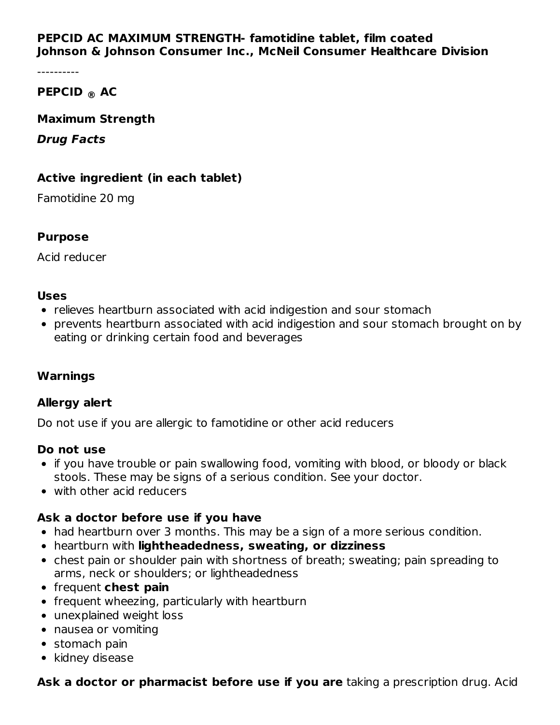### **PEPCID AC MAXIMUM STRENGTH- famotidine tablet, film coated Johnson & Johnson Consumer Inc., McNeil Consumer Healthcare Division**

----------

## **PEPCID AC ®**

#### **Maximum Strength**

#### **Drug Facts**

### **Active ingredient (in each tablet)**

Famotidine 20 mg

#### **Purpose**

Acid reducer

#### **Uses**

- relieves heartburn associated with acid indigestion and sour stomach
- prevents heartburn associated with acid indigestion and sour stomach brought on by eating or drinking certain food and beverages

#### **Warnings**

#### **Allergy alert**

Do not use if you are allergic to famotidine or other acid reducers

#### **Do not use**

- if you have trouble or pain swallowing food, vomiting with blood, or bloody or black stools. These may be signs of a serious condition. See your doctor.
- with other acid reducers

## **Ask a doctor before use if you have**

- had heartburn over 3 months. This may be a sign of a more serious condition.
- heartburn with **lightheadedness, sweating, or dizziness**
- chest pain or shoulder pain with shortness of breath; sweating; pain spreading to arms, neck or shoulders; or lightheadedness
- frequent **chest pain**
- frequent wheezing, particularly with heartburn
- unexplained weight loss
- nausea or vomiting
- stomach pain
- kidney disease

# **Ask a doctor or pharmacist before use if you are** taking a prescription drug. Acid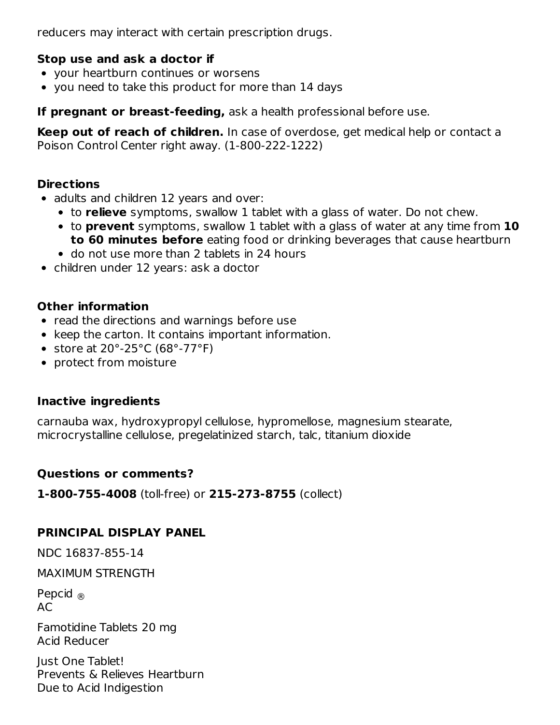reducers may interact with certain prescription drugs.

## **Stop use and ask a doctor if**

- your heartburn continues or worsens
- you need to take this product for more than 14 days

**If pregnant or breast-feeding,** ask a health professional before use.

**Keep out of reach of children.** In case of overdose, get medical help or contact a Poison Control Center right away. (1-800-222-1222)

### **Directions**

- adults and children 12 years and over:
	- to **relieve** symptoms, swallow 1 tablet with a glass of water. Do not chew.
	- to **prevent** symptoms, swallow 1 tablet with a glass of water at any time from **10 to 60 minutes before** eating food or drinking beverages that cause heartburn
	- do not use more than 2 tablets in 24 hours
- children under 12 years: ask a doctor

## **Other information**

- read the directions and warnings before use
- keep the carton. It contains important information.
- store at  $20^{\circ}$ -25 $^{\circ}$ C (68 $^{\circ}$ -77 $^{\circ}$ F)
- protect from moisture

## **Inactive ingredients**

carnauba wax, hydroxypropyl cellulose, hypromellose, magnesium stearate, microcrystalline cellulose, pregelatinized starch, talc, titanium dioxide

## **Questions or comments?**

**1-800-755-4008** (toll-free) or **215-273-8755** (collect)

# **PRINCIPAL DISPLAY PANEL**

NDC 16837-855-14

MAXIMUM STRENGTH

Pepcid ®AC

Famotidine Tablets 20 mg Acid Reducer

Just One Tablet! Prevents & Relieves Heartburn Due to Acid Indigestion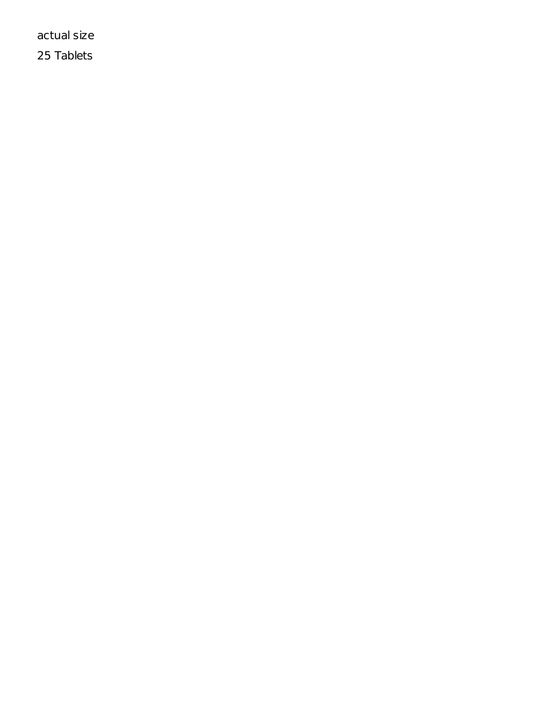actual size

25 Tablets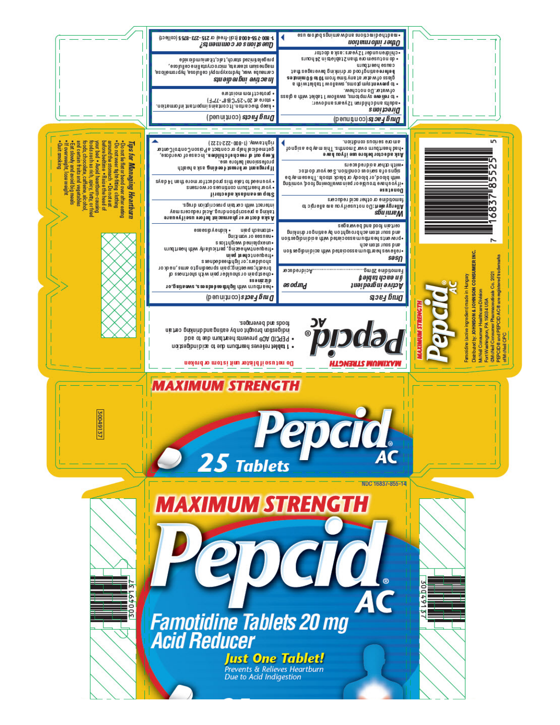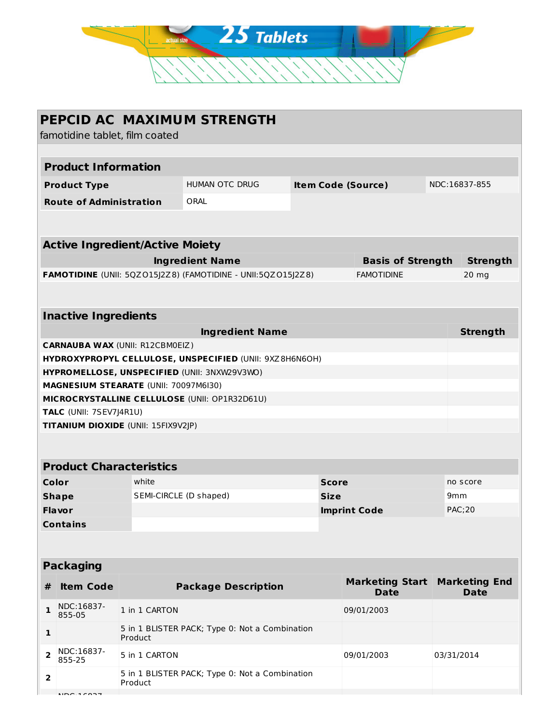

|                                        |                                   |                                        | PEPCID AC MAXIMUM STRENGTH                                   |  |                           |                                       |                 |                                     |  |
|----------------------------------------|-----------------------------------|----------------------------------------|--------------------------------------------------------------|--|---------------------------|---------------------------------------|-----------------|-------------------------------------|--|
| famotidine tablet, film coated         |                                   |                                        |                                                              |  |                           |                                       |                 |                                     |  |
|                                        |                                   |                                        |                                                              |  |                           |                                       |                 |                                     |  |
|                                        | <b>Product Information</b>        |                                        |                                                              |  |                           |                                       |                 |                                     |  |
|                                        | <b>Product Type</b>               |                                        | <b>HUMAN OTC DRUG</b>                                        |  | <b>Item Code (Source)</b> |                                       |                 | NDC:16837-855                       |  |
|                                        | <b>Route of Administration</b>    |                                        | ORAL                                                         |  |                           |                                       |                 |                                     |  |
|                                        |                                   |                                        |                                                              |  |                           |                                       |                 |                                     |  |
| <b>Active Ingredient/Active Moiety</b> |                                   |                                        |                                                              |  |                           |                                       |                 |                                     |  |
| <b>Ingredient Name</b>                 |                                   |                                        |                                                              |  | <b>Basis of Strength</b>  |                                       |                 | <b>Strength</b>                     |  |
|                                        |                                   |                                        | FAMOTIDINE (UNII: 5QZ015J2Z8) (FAMOTIDINE - UNII:5QZ015J2Z8) |  |                           | <b>FAMOTIDINE</b>                     |                 | $20$ mg                             |  |
|                                        |                                   |                                        |                                                              |  |                           |                                       |                 |                                     |  |
|                                        | <b>Inactive Ingredients</b>       |                                        |                                                              |  |                           |                                       |                 |                                     |  |
|                                        |                                   |                                        | <b>Ingredient Name</b>                                       |  |                           |                                       |                 | <b>Strength</b>                     |  |
|                                        |                                   | <b>CARNAUBA WAX (UNII: R12CBM0EIZ)</b> |                                                              |  |                           |                                       |                 |                                     |  |
|                                        |                                   |                                        | HYDROXYPROPYL CELLULOSE, UNSPECIFIED (UNII: 9XZ8H6N6OH)      |  |                           |                                       |                 |                                     |  |
|                                        |                                   |                                        | HYPROMELLOSE, UNSPECIFIED (UNII: 3NXW29V3WO)                 |  |                           |                                       |                 |                                     |  |
|                                        |                                   | MAGNESIUM STEARATE (UNII: 70097M6I30)  |                                                              |  |                           |                                       |                 |                                     |  |
|                                        |                                   |                                        | MICROCRYSTALLINE CELLULOSE (UNII: OP1R32D61U)                |  |                           |                                       |                 |                                     |  |
|                                        | TALC (UNII: 7SEV7J4R1U)           |                                        |                                                              |  |                           |                                       |                 |                                     |  |
| TITANIUM DIOXIDE (UNII: 15FIX9V2JP)    |                                   |                                        |                                                              |  |                           |                                       |                 |                                     |  |
|                                        |                                   |                                        |                                                              |  |                           |                                       |                 |                                     |  |
| <b>Product Characteristics</b>         |                                   |                                        |                                                              |  |                           |                                       |                 |                                     |  |
| Color                                  |                                   | white                                  |                                                              |  | <b>Score</b>              |                                       |                 | no score                            |  |
| <b>Shape</b>                           |                                   | SEMI-CIRCLE (D shaped)                 |                                                              |  | <b>Size</b>               |                                       | 9 <sub>mm</sub> |                                     |  |
| <b>Flavor</b>                          |                                   |                                        |                                                              |  | <b>Imprint Code</b>       |                                       |                 | <b>PAC:20</b>                       |  |
|                                        | Contains                          |                                        |                                                              |  |                           |                                       |                 |                                     |  |
|                                        |                                   |                                        |                                                              |  |                           |                                       |                 |                                     |  |
| <b>Packaging</b>                       |                                   |                                        |                                                              |  |                           |                                       |                 |                                     |  |
| #                                      | <b>Item Code</b>                  |                                        | <b>Package Description</b>                                   |  |                           | <b>Marketing Start</b><br><b>Date</b> |                 | <b>Marketing End</b><br><b>Date</b> |  |
| $\mathbf{1}$                           | NDC:16837-<br>855-05              | 1 in 1 CARTON                          |                                                              |  |                           | 09/01/2003                            |                 |                                     |  |
| $\mathbf{1}$                           |                                   | Product                                | 5 in 1 BLISTER PACK; Type 0: Not a Combination               |  |                           |                                       |                 |                                     |  |
| $\overline{\mathbf{2}}$                | NDC:16837-<br>855-25              | 5 in 1 CARTON                          |                                                              |  |                           | 09/01/2003                            |                 | 03/31/2014                          |  |
| $\overline{\mathbf{2}}$                |                                   | Product                                | 5 in 1 BLISTER PACK; Type 0: Not a Combination               |  |                           |                                       |                 |                                     |  |
|                                        | $\overline{100}$ $\overline{100}$ |                                        |                                                              |  |                           |                                       |                 |                                     |  |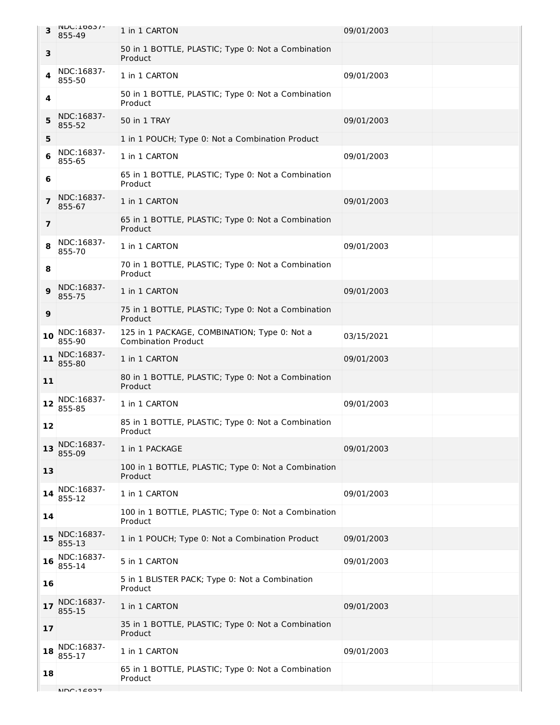| 3                       | <b>INDC: TOQ?\-</b><br>855-49 | 1 in 1 CARTON                                                              | 09/01/2003 |  |
|-------------------------|-------------------------------|----------------------------------------------------------------------------|------------|--|
| 3                       |                               | 50 in 1 BOTTLE, PLASTIC; Type 0: Not a Combination<br>Product              |            |  |
| 4                       | NDC:16837-<br>855-50          | 1 in 1 CARTON                                                              | 09/01/2003 |  |
| 4                       |                               | 50 in 1 BOTTLE, PLASTIC; Type 0: Not a Combination<br>Product              |            |  |
| 5                       | NDC:16837-<br>855-52          | 50 in 1 TRAY                                                               | 09/01/2003 |  |
| 5                       |                               | 1 in 1 POUCH; Type 0: Not a Combination Product                            |            |  |
| 6                       | NDC:16837-<br>855-65          | 1 in 1 CARTON                                                              | 09/01/2003 |  |
| 6                       |                               | 65 in 1 BOTTLE, PLASTIC; Type 0: Not a Combination<br>Product              |            |  |
| $\overline{\mathbf{z}}$ | NDC:16837-<br>855-67          | 1 in 1 CARTON                                                              | 09/01/2003 |  |
| $\overline{\mathbf{z}}$ |                               | 65 in 1 BOTTLE, PLASTIC; Type 0: Not a Combination<br>Product              |            |  |
| 8                       | NDC:16837-<br>855-70          | 1 in 1 CARTON                                                              | 09/01/2003 |  |
| 8                       |                               | 70 in 1 BOTTLE, PLASTIC; Type 0: Not a Combination<br>Product              |            |  |
| 9                       | NDC:16837-<br>855-75          | 1 in 1 CARTON                                                              | 09/01/2003 |  |
| 9                       |                               | 75 in 1 BOTTLE, PLASTIC; Type 0: Not a Combination<br>Product              |            |  |
| 10                      | NDC:16837-<br>855-90          | 125 in 1 PACKAGE, COMBINATION; Type 0: Not a<br><b>Combination Product</b> | 03/15/2021 |  |
| 11                      | NDC:16837-<br>855-80          | 1 in 1 CARTON                                                              | 09/01/2003 |  |
| 11                      |                               | 80 in 1 BOTTLE, PLASTIC; Type 0: Not a Combination<br>Product              |            |  |
| 12                      | NDC:16837-<br>855-85          | 1 in 1 CARTON                                                              | 09/01/2003 |  |
| 12                      |                               | 85 in 1 BOTTLE, PLASTIC; Type 0: Not a Combination<br>Product              |            |  |
| 13                      | NDC:16837-<br>855-09          | 1 in 1 PACKAGE                                                             | 09/01/2003 |  |
| 13                      |                               | 100 in 1 BOTTLE, PLASTIC; Type 0: Not a Combination<br>Product             |            |  |
| 14                      | NDC:16837-<br>855-12          | 1 in 1 CARTON                                                              | 09/01/2003 |  |
| 14                      |                               | 100 in 1 BOTTLE, PLASTIC; Type 0: Not a Combination<br>Product             |            |  |
| 15                      | NDC:16837-<br>855-13          | 1 in 1 POUCH; Type 0: Not a Combination Product                            | 09/01/2003 |  |
| 16                      | NDC:16837-<br>855-14          | 5 in 1 CARTON                                                              | 09/01/2003 |  |
| 16                      |                               | 5 in 1 BLISTER PACK; Type 0: Not a Combination<br>Product                  |            |  |
| 17                      | NDC:16837-<br>855-15          | 1 in 1 CARTON                                                              | 09/01/2003 |  |
| 17                      |                               | 35 in 1 BOTTLE, PLASTIC; Type 0: Not a Combination<br>Product              |            |  |
| 18                      | NDC:16837-<br>855-17          | 1 in 1 CARTON                                                              | 09/01/2003 |  |
| 18                      |                               | 65 in 1 BOTTLE, PLASTIC; Type 0: Not a Combination<br>Product              |            |  |
|                         |                               |                                                                            |            |  |